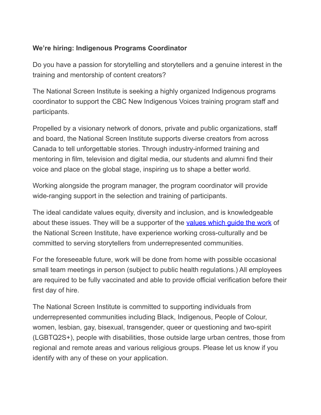## **We're hiring: Indigenous Programs Coordinator**

Do you have a passion for storytelling and storytellers and a genuine interest in the training and mentorship of content creators?

The National Screen Institute is seeking a highly organized Indigenous programs coordinator to support the CBC New Indigenous Voices training program staff and participants.

Propelled by a visionary network of donors, private and public organizations, staff and board, the National Screen Institute supports diverse creators from across Canada to tell unforgettable stories. Through industry-informed training and mentoring in film, television and digital media, our students and alumni find their voice and place on the global stage, inspiring us to shape a better world.

Working alongside the program manager, the program coordinator will provide wide-ranging support in the selection and training of participants.

The ideal candidate values equity, diversity and inclusion, and is knowledgeable about these issues. They will be a supporter of the [values](https://nsi-canada.ca/about/) which guide the work of the National Screen Institute, have experience working cross-culturally and be committed to serving storytellers from underrepresented communities.

For the foreseeable future, work will be done from home with possible occasional small team meetings in person (subject to public health regulations.) All employees are required to be fully vaccinated and able to provide official verification before their first day of hire.

The National Screen Institute is committed to supporting individuals from underrepresented communities including Black, Indigenous, People of Colour, women, lesbian, gay, bisexual, transgender, queer or questioning and two-spirit (LGBTQ2S+), people with disabilities, those outside large urban centres, those from regional and remote areas and various religious groups. Please let us know if you identify with any of these on your application.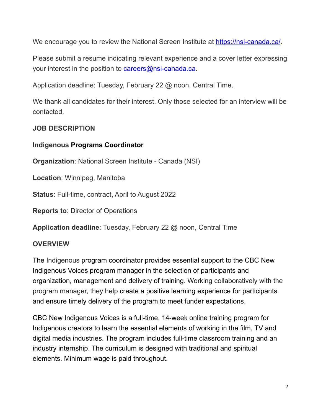We encourage you to review the National Screen Institute at <https://nsi-canada.ca/>.

Please submit a resume indicating relevant experience and a cover letter expressing your interest in the position to careers@nsi-canada.ca.

Application deadline: Tuesday, February 22 @ noon, Central Time.

We thank all candidates for their interest. Only those selected for an interview will be contacted.

#### **JOB DESCRIPTION**

#### **Indigenous Programs Coordinator**

**Organization**: National Screen Institute - Canada (NSI)

**Location**: Winnipeg, Manitoba

**Status**: Full-time, contract, April to August 2022

**Reports to**: Director of Operations

**Application deadline**: Tuesday, February 22 @ noon, Central Time

### **OVERVIEW**

The Indigenous program coordinator provides essential support to the CBC New Indigenous Voices program manager in the selection of participants and organization, management and delivery of training. Working collaboratively with the program manager, they help create a positive learning experience for participants and ensure timely delivery of the program to meet funder expectations.

CBC New Indigenous Voices is a full-time, 14-week online training program for Indigenous creators to learn the essential elements of working in the film, TV and digital media industries. The program includes full-time classroom training and an industry internship. The curriculum is designed with traditional and spiritual elements. Minimum wage is paid throughout.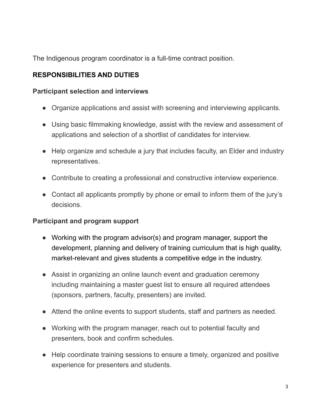The Indigenous program coordinator is a full-time contract position.

# **RESPONSIBILITIES AND DUTIES**

### **Participant selection and interviews**

- Organize applications and assist with screening and interviewing applicants.
- Using basic filmmaking knowledge, assist with the review and assessment of applications and selection of a shortlist of candidates for interview.
- Help organize and schedule a jury that includes faculty, an Elder and industry representatives.
- Contribute to creating a professional and constructive interview experience.
- Contact all applicants promptly by phone or email to inform them of the jury's decisions.

### **Participant and program support**

- Working with the program advisor(s) and program manager, support the development, planning and delivery of training curriculum that is high quality, market-relevant and gives students a competitive edge in the industry.
- Assist in organizing an online launch event and graduation ceremony including maintaining a master guest list to ensure all required attendees (sponsors, partners, faculty, presenters) are invited.
- Attend the online events to support students, staff and partners as needed.
- Working with the program manager, reach out to potential faculty and presenters, book and confirm schedules.
- Help coordinate training sessions to ensure a timely, organized and positive experience for presenters and students.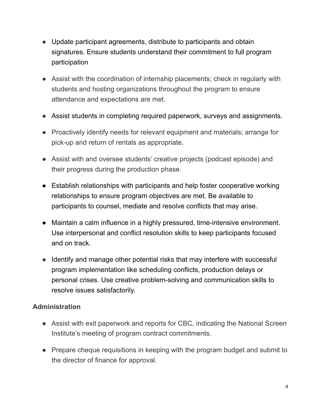- Update participant agreements, distribute to participants and obtain signatures. Ensure students understand their commitment to full program participation
- Assist with the coordination of internship placements; check in regularly with students and hosting organizations throughout the program to ensure attendance and expectations are met.
- Assist students in completing required paperwork, surveys and assignments.
- Proactively identify needs for relevant equipment and materials; arrange for pick-up and return of rentals as appropriate.
- Assist with and oversee students' creative projects (podcast episode) and their progress during the production phase.
- Establish relationships with participants and help foster cooperative working relationships to ensure program objectives are met. Be available to participants to counsel, mediate and resolve conflicts that may arise.
- Maintain a calm influence in a highly pressured, time-intensive environment. Use interpersonal and conflict resolution skills to keep participants focused and on track.
- Identify and manage other potential risks that may interfere with successful program implementation like scheduling conflicts, production delays or personal crises. Use creative problem-solving and communication skills to resolve issues satisfactorily.

# **Administration**

- Assist with exit paperwork and reports for CBC, indicating the National Screen Institute's meeting of program contract commitments.
- Prepare cheque requisitions in keeping with the program budget and submit to the director of finance for approval.